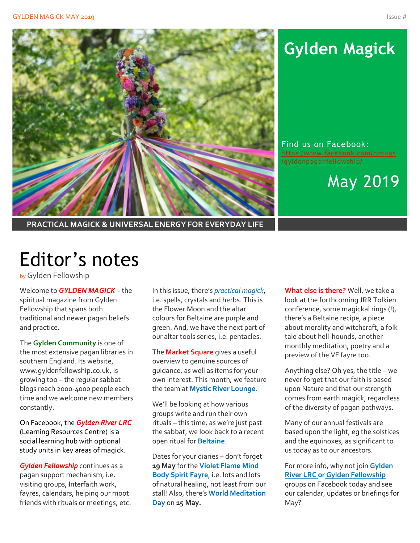

# **Gylden Magick**

Find us on Facebook: [https://www.facebook.com/groups](https://www.facebook.com/groups/gyldenpaganfellowship/)

May 2019

**PRACTICAL MAGICK & UNIVERSAL ENERGY FOR EVERYDAY LIFE**

# Editor's notes

by Gylden Fellowship

Welcome to *GYLDEN MAGICK* – the spiritual magazine from Gylden Fellowship that spans both traditional and newer pagan beliefs and practice.

The **Gylden Community** is one of the most extensive pagan libraries in southern England. Its website, www.gyldenfellowship.co.uk, is growing too – the regular sabbat blogs reach 2000-4000 people each time and we welcome new members constantly.

On Facebook, the *Gylden River LRC* (Learning Resources Centre) is a social learning hub with optional study units in key areas of magick.

*Gylden Fellowship* continues as a pagan support mechanism, i.e. visiting groups, Interfaith work, fayres, calendars, helping our moot friends with rituals or meetings, etc.

In this issue, there's *practical magick*, i.e. spells, crystals and herbs. This is the Flower Moon and the altar colours for Beltaine are purple and green. And, we have the next part of our altar tools series, i.e. pentacles.

The **Market Square** gives a useful overview to genuine sources of guidance, as well as items for your own interest. This month, we feature the team at **Mystic River Lounge.**

We'll be looking at how various groups write and run their own rituals – this time, as we're just past the sabbat, we look back to a recent open ritual for **Beltaine**.

Dates for your diaries – don't forget **19 May** for the **Violet Flame Mind Body Spirit Fayre**, i.e. lots and lots of natural healing, not least from our stall! Also, there's **World Meditation Day** on **15 May.**

**What else is there?** Well, we take a look at the forthcoming JRR Tolkien conference, some magickal rings (!), there's a Beltaine recipe, a piece about morality and witchcraft, a folk tale about hell-hounds, another monthly meditation, poetry and a preview of the VF fayre too.

Anything else? Oh yes, the title – we never forget that our faith is based upon Nature and that our strength comes from earth magick, regardless of the diversity of pagan pathways.

Many of our annual festivals are based upon the light, eg the solstices and the equinoxes, as significant to us today as to our ancestors.

For more info, why not join **Gylden River LRC or Gylden Fellowship** groups on Facebook today and see our calendar, updates or briefings for May?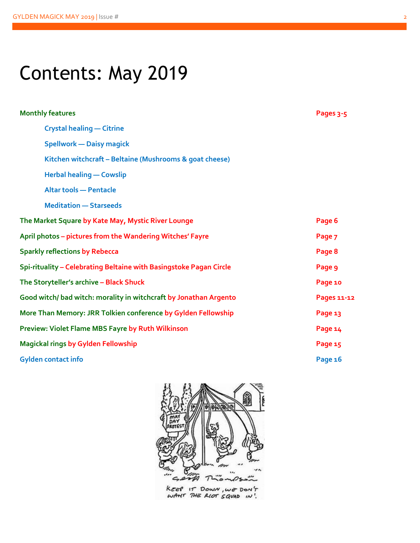# Contents: May 2019

| <b>Monthly features</b>                                            | Pages 3-5   |
|--------------------------------------------------------------------|-------------|
| <b>Crystal healing - Citrine</b>                                   |             |
| <b>Spellwork - Daisy magick</b>                                    |             |
| Kitchen witchcraft - Beltaine (Mushrooms & goat cheese)            |             |
| <b>Herbal healing - Cowslip</b>                                    |             |
| <b>Altar tools - Pentacle</b>                                      |             |
| <b>Meditation - Starseeds</b>                                      |             |
| The Market Square by Kate May, Mystic River Lounge                 | Page 6      |
| April photos - pictures from the Wandering Witches' Fayre          | Page 7      |
| <b>Sparkly reflections by Rebecca</b>                              | Page 8      |
| Spi-rituality - Celebrating Beltaine with Basingstoke Pagan Circle | Page 9      |
| The Storyteller's archive - Black Shuck                            | Page 10     |
| Good witch/bad witch: morality in witchcraft by Jonathan Argento   | Pages 11-12 |
| More Than Memory: JRR Tolkien conference by Gylden Fellowship      | Page 13     |
| Preview: Violet Flame MBS Fayre by Ruth Wilkinson                  | Page 14     |
| <b>Magickal rings by Gylden Fellowship</b>                         | Page 15     |
| <b>Gylden contact info</b>                                         | Page 16     |



KEEP IT DOWN, WE DON'T<br>WANT THE RIOT SQUAD IN!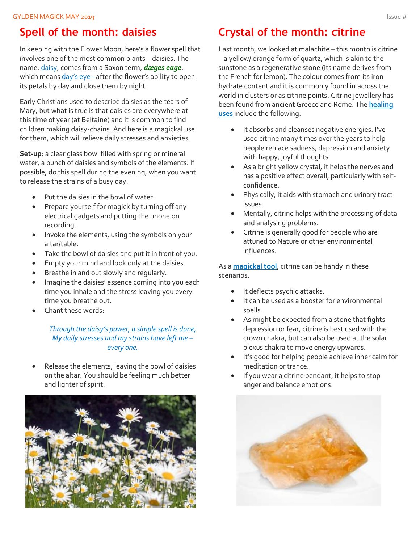### **Spell of the month: daisies**

In keeping with the Flower Moon, here's a flower spell that involves one of the most common plants – daisies. The name, daisy, comes from a Saxon term, *dæges eage*, which means day's eye - after the flower's ability to open its petals by day and close them by night.

Early Christians used to describe daisies as the tears of Mary, but what is true is that daisies are everywhere at this time of year (at Beltaine) and it is common to find children making daisy-chains. And here is a magickal use for them, which will relieve daily stresses and anxieties.

**Set-up**: a clear glass bowl filled with spring or mineral water, a bunch of daisies and symbols of the elements. If possible, do this spell during the evening, when you want to release the strains of a busy day.

- Put the daisies in the bowl of water.
- Prepare yourself for magick by turning off any electrical gadgets and putting the phone on recording.
- Invoke the elements, using the symbols on your altar/table.
- Take the bowl of daisies and put it in front of you.
- Empty your mind and look only at the daisies.
- Breathe in and out slowly and regularly.
- Imagine the daisies' essence coming into you each time you inhale and the stress leaving you every time you breathe out.
- Chant these words:

*Through the daisy's power, a simple spell is done, My daily stresses and my strains have left me – every one.*

Release the elements, leaving the bowl of daisies on the altar. You should be feeling much better and lighter of spirit.



### **Crystal of the month: citrine**

Last month, we looked at malachite – this month is citrine – a yellow/ orange form of quartz, which is akin to the sunstone as a regenerative stone (its name derives from the French for lemon). The colour comes from its iron hydrate content and it is commonly found in across the world in clusters or as citrine points. Citrine jewellery has been found from ancient Greece and Rome. The **healing uses** include the following.

- It absorbs and cleanses negative energies. I've used citrine many times over the years to help people replace sadness, depression and anxiety with happy, joyful thoughts.
- As a bright yellow crystal, it helps the nerves and has a positive effect overall, particularly with selfconfidence.
- Physically, it aids with stomach and urinary tract issues.
- Mentally, citrine helps with the processing of data and analysing problems.
- Citrine is generally good for people who are attuned to Nature or other environmental influences.

As a **magickal tool**, citrine can be handy in these scenarios.

- It deflects psychic attacks.
- It can be used as a booster for environmental spells.
- As might be expected from a stone that fights depression or fear, citrine is best used with the crown chakra, but can also be used at the solar plexus chakra to move energy upwards.
- It's good for helping people achieve inner calm for meditation or trance.
- If you wear a citrine pendant, it helps to stop anger and balance emotions.

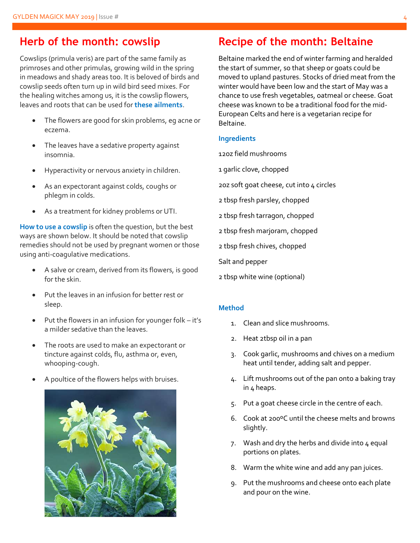### **Herb of the month: cowslip**

Cowslips (primula veris) are part of the same family as primroses and other primulas, growing wild in the spring in meadows and shady areas too. It is beloved of birds and cowslip seeds often turn up in wild bird seed mixes. For the healing witches among us, it is the cowslip flowers, leaves and roots that can be used for **these ailments**.

- The flowers are good for skin problems, eg acne or eczema.
- The leaves have a sedative property against insomnia.
- Hyperactivity or nervous anxiety in children.
- As an expectorant against colds, coughs or phlegm in colds.
- As a treatment for kidney problems or UTI.

**How to use a cowslip** is often the question, but the best ways are shown below. It should be noted that cowslip remedies should not be used by pregnant women or those using anti-coagulative medications.

- A salve or cream, derived from its flowers, is good for the skin.
- Put the leaves in an infusion for better rest or sleep.
- Put the flowers in an infusion for younger folk it's a milder sedative than the leaves.
- The roots are used to make an expectorant or tincture against colds, flu, asthma or, even, whooping-cough.
- A poultice of the flowers helps with bruises.



### **Recipe of the month: Beltaine**

Beltaine marked the end of winter farming and heralded the start of summer, so that sheep or goats could be moved to upland pastures. Stocks of dried meat from the winter would have been low and the start of May was a chance to use fresh vegetables, oatmeal or cheese. Goat cheese was known to be a traditional food for the mid-European Celts and here is a vegetarian recipe for Beltaine.

#### **Ingredients**

12oz field mushrooms

- 1 garlic clove, chopped
- 2oz soft goat cheese, cut into 4 circles
- 2 tbsp fresh parsley, chopped
- 2 tbsp fresh tarragon, chopped
- 2 tbsp fresh marjoram, chopped
- 2 tbsp fresh chives, chopped
- Salt and pepper
- 2 tbsp white wine (optional)

#### **Method**

- 1. Clean and slice mushrooms.
- 2. Heat 2tbsp oil in a pan
- 3. Cook garlic, mushrooms and chives on a medium heat until tender, adding salt and pepper.
- 4. Lift mushrooms out of the pan onto a baking tray in 4 heaps.
- 5. Put a goat cheese circle in the centre of each.
- 6. Cook at 200ºC until the cheese melts and browns slightly.
- 7. Wash and dry the herbs and divide into  $4$  equal portions on plates.
- 8. Warm the white wine and add any pan juices.
- 9. Put the mushrooms and cheese onto each plate and pour on the wine.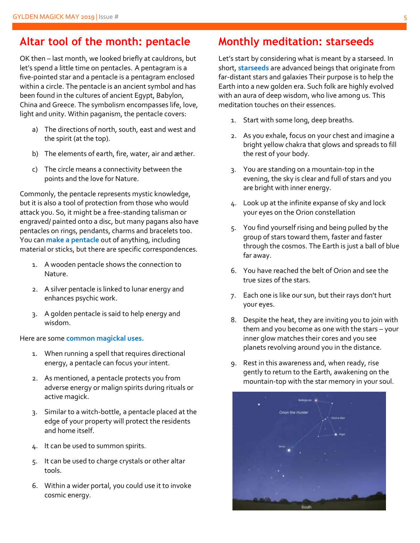### **Altar tool of the month: pentacle**

OK then – last month, we looked briefly at cauldrons, but let's spend a little time on pentacles. A pentagram is a five-pointed star and a pentacle is a pentagram enclosed within a circle. The pentacle is an ancient symbol and has been found in the cultures of ancient Egypt, Babylon, China and Greece. The symbolism encompasses life, love, light and unity. Within paganism, the pentacle covers:

- a) The directions of north, south, east and west and the spirit (at the top).
- b) The elements of earth, fire, water, air and æther.
- c) The circle means a connectivity between the points and the love for Nature.

Commonly, the pentacle represents mystic knowledge, but it is also a tool of protection from those who would attack you. So, it might be a free-standing talisman or engraved/ painted onto a disc, but many pagans also have pentacles on rings, pendants, charms and bracelets too. You can **make a pentacle** out of anything, including material or sticks, but there are specific correspondences.

- 1. A wooden pentacle shows the connection to Nature.
- 2. A silver pentacle is linked to lunar energy and enhances psychic work.
- 3. A golden pentacle is said to help energy and wisdom.

#### Here are some **common magickal uses.**

- 1. When running a spell that requires directional energy, a pentacle can focus your intent.
- 2. As mentioned, a pentacle protects you from adverse energy or malign spirits during rituals or active magick.
- 3. Similar to a witch-bottle, a pentacle placed at the edge of your property will protect the residents and home itself.
- 4. It can be used to summon spirits.
- 5. It can be used to charge crystals or other altar tools.
- 6. Within a wider portal, you could use it to invoke cosmic energy.

### **Monthly meditation: starseeds**

Let's start by considering what is meant by a starseed. In short, **starseeds** are advanced beings that originate from far-distant stars and galaxies Their purpose is to help the Earth into a new golden era. Such folk are highly evolved with an aura of deep wisdom, who live among us. This meditation touches on their essences.

- 1. Start with some long, deep breaths.
- 2. As you exhale, focus on your chest and imagine a bright yellow chakra that glows and spreads to fill the rest of your body.
- 3. You are standing on a mountain-top in the evening, the sky is clear and full of stars and you are bright with inner energy.
- 4. Look up at the infinite expanse of sky and lock your eyes on the Orion constellation
- 5. You find yourself rising and being pulled by the group of stars toward them, faster and faster through the cosmos. The Earth is just a ball of blue far away.
- 6. You have reached the belt of Orion and see the true sizes of the stars.
- 7. Each one is like our sun, but their rays don't hurt your eyes.
- 8. Despite the heat, they are inviting you to join with them and you become as one with the stars – your inner glow matches their cores and you see planets revolving around you in the distance.
- 9. Rest in this awareness and, when ready, rise gently to return to the Earth, awakening on the mountain-top with the star memory in your soul.

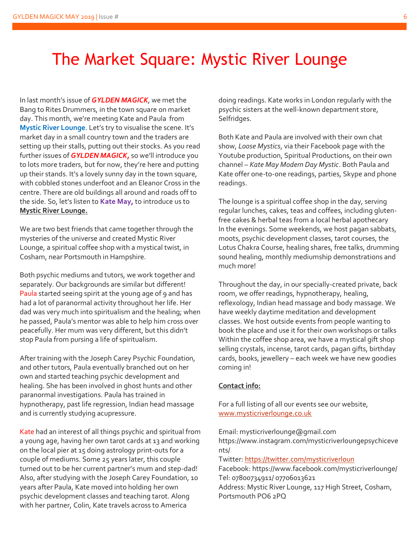# The Market Square: Mystic River Lounge

In last month's issue of *GYLDEN MAGICK*, we met the Bang to Rites Drummers, in the town square on market day. This month, we're meeting Kate and Paula from **Mystic River Lounge**. Let's try to visualise the scene. It's market day in a small country town and the traders are setting up their stalls, putting out their stocks. As you read further issues of *GYLDEN MAGICK,* so we'll introduce you to lots more traders, but for now, they're here and putting up their stands. It's a lovely sunny day in the town square, with cobbled stones underfoot and an Eleanor Cross in the centre. There are old buildings all around and roads off to the side. So, let's listen to **Kate May,** to introduce us to **Mystic River Lounge.**

We are two best friends that came together through the mysteries of the universe and created Mystic River Lounge, a spiritual coffee shop with a mystical twist, in Cosham, near Portsmouth in Hampshire.

Both psychic mediums and tutors, we work together and separately. Our backgrounds are similar but different! Paula started seeing spirit at the young age of 9 and has had a lot of paranormal activity throughout her life. Her dad was very much into spiritualism and the healing; when he passed, Paula's mentor was able to help him cross over peacefully. Her mum was very different, but this didn't stop Paula from pursing a life of spiritualism.

After training with the Joseph Carey Psychic Foundation, and other tutors, Paula eventually branched out on her own and started teaching psychic development and healing. She has been involved in ghost hunts and other paranormal investigations. Paula has trained in hypnotherapy, past life regression, Indian head massage and is currently studying acupressure.

Kate had an interest of all things psychic and spiritual from a young age, having her own tarot cards at 13 and working on the local pier at 15 doing astrology print-outs for a couple of mediums. Some 25 years later, this couple turned out to be her current partner's mum and step-dad! Also, after studying with the Joseph Carey Foundation, 10 years after Paula, Kate moved into holding her own psychic development classes and teaching tarot. Along with her partner, Colin, Kate travels across to America

doing readings. Kate works in London regularly with the psychic sisters at the well-known department store, Selfridges.

Both Kate and Paula are involved with their own chat show, *Loose Mystics*, via their Facebook page with the Youtube production, Spiritual Productions, on their own channel – *Kate May Modern Day Mystic*. Both Paula and Kate offer one-to-one readings, parties, Skype and phone readings.

The lounge is a spiritual coffee shop in the day, serving regular lunches, cakes, teas and coffees, including glutenfree cakes & herbal teas from a local herbal apothecary In the evenings. Some weekends, we host pagan sabbats, moots, psychic development classes, tarot courses, the Lotus Chakra Course, healing shares, free talks, drumming sound healing, monthly mediumship demonstrations and much more!

Throughout the day, in our specially-created private, back room, we offer readings, hypnotherapy, healing, reflexology, Indian head massage and body massage. We have weekly daytime meditation and development classes. We host outside events from people wanting to book the place and use it for their own workshops or talks Within the coffee shop area, we have a mystical gift shop selling crystals, incense, tarot cards, pagan gifts, birthday cards, books, jewellery – each week we have new goodies coming in!

#### **Contact info:**

For a full listing of all our events see our website, [www.mysticriverlounge.co.uk](http://www.mysticriverlounge.co.uk/)

Email: mysticriverlounge@gmail.com

https://www.instagram.com/mysticriverloungepsychiceve nts/

Twitter:<https://twitter.com/mysticriverloun>

Facebook: https://www.facebook.com/mysticriverlounge/ Tel: 07800734911/ 07706013621

Address: Mystic River Lounge, 117 High Street, Cosham, Portsmouth PO6 2PQ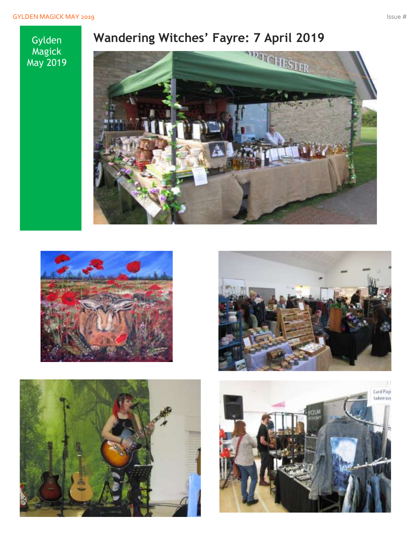### Gylden Magick May 2019









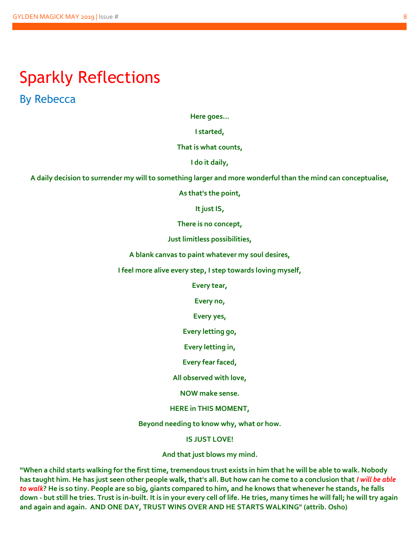# Sparkly Reflections

By Rebecca

**Here goes…**

**I started,**

**That is what counts,**

**I do it daily,**

**A daily decision to surrender my will to something larger and more wonderful than the mind can conceptualise,**

**As that's the point,**

**It just IS,**

**There is no concept,**

**Just limitless possibilities,**

**A blank canvas to paint whatever my soul desires,**

**I feel more alive every step, I step towards loving myself,**

**Every tear,**

**Every no,**

**Every yes,**

**Every letting go,**

**Every letting in,**

**Every fear faced,**

**All observed with love,**

**NOW make sense.**

**HERE in THIS MOMENT,**

**Beyond needing to know why, what or how.**

**IS JUST LOVE!**

**And that just blows my mind.**

**"When a child starts walking for the first time, tremendous trust exists in him that he will be able to walk. Nobody has taught him. He has just seen other people walk, that's all. But how can he come to a conclusion that** *I will be able to walk***? He is so tiny. People are so big, giants compared to him, and he knows that whenever he stands, he falls down - but still he tries. Trust is in-built. It is in your every cell of life. He tries, many times he will fall; he will try again and again and again. AND ONE DAY, TRUST WINS OVER AND HE STARTS WALKING" (attrib. Osho)**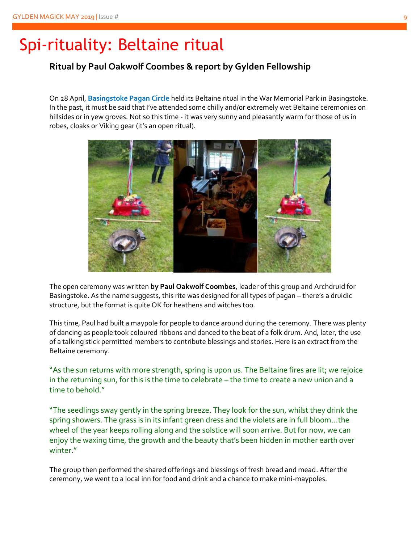# Spi-rituality: Beltaine ritual

### **Ritual by Paul Oakwolf Coombes & report by Gylden Fellowship**

On 28 April, **Basingstoke Pagan Circle** held its Beltaine ritual in the War Memorial Park in Basingstoke. In the past, it must be said that I've attended some chilly and/or extremely wet Beltaine ceremonies on hillsides or in yew groves. Not so this time - it was very sunny and pleasantly warm for those of us in robes, cloaks or Viking gear (it's an open ritual).



The open ceremony was written **by Paul Oakwolf Coombes**, leader of this group and Archdruid for Basingstoke. As the name suggests, this rite was designed for all types of pagan – there's a druidic structure, but the format is quite OK for heathens and witches too.

This time, Paul had built a maypole for people to dance around during the ceremony. There was plenty of dancing as people took coloured ribbons and danced to the beat of a folk drum. And, later, the use of a talking stick permitted members to contribute blessings and stories. Here is an extract from the Beltaine ceremony.

"As the sun returns with more strength, spring is upon us. The Beltaine fires are lit; we rejoice in the returning sun, for this is the time to celebrate – the time to create a new union and a time to behold."

"The seedlings sway gently in the spring breeze. They look for the sun, whilst they drink the spring showers. The grass is in its infant green dress and the violets are in full bloom…the wheel of the year keeps rolling along and the solstice will soon arrive. But for now, we can enjoy the waxing time, the growth and the beauty that's been hidden in mother earth over winter."

The group then performed the shared offerings and blessings of fresh bread and mead. After the ceremony, we went to a local inn for food and drink and a chance to make mini-maypoles.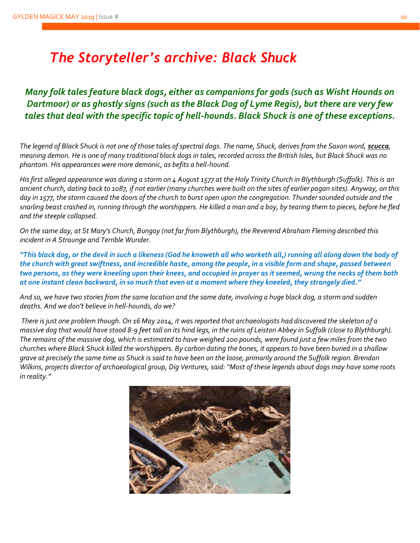## *The Storyteller's archive: Black Shuck*

*Many folk tales feature black dogs, either as companions for gods (such as Wisht Hounds on Dartmoor) or as ghostly signs (such as the Black Dog of Lyme Regis), but there are very few tales that deal with the specific topic of hell-hounds. Black Shuck is one of these exceptions.*

The legend of Black Shuck is not one of those tales of spectral dogs. The name, Shuck, derives from the Saxon word, **scucca**, *meaning demon. He is one of many traditional black dogs in tales, recorded across the British Isles, but Black Shuck was no phantom. His appearances were more demonic, as befits a hell-hound.*

*His first alleged appearance was during a storm on 4 August 1577 at the Holy Trinity Church in Blythburgh (Suffolk). This is an ancient church, dating back to 1087, if not earlier (many churches were built on the sites of earlier pagan sites). Anyway, on this day in 1577, the storm caused the doors of the church to burst open upon the congregation. Thunder sounded outside and the snarling beast crashed in, running through the worshippers. He killed a man and a boy, by tearing them to pieces, before he fled and the steeple collapsed.* 

*On the same day, at St Mary's Church, Bungay (not far from Blythburgh), the Reverend Abraham Fleming described this incident in A Straunge and Terrible Wunder.*

*"This black dog, or the devil in such a likeness (God he knoweth all who worketh all,) running all along down the body of the church with great swiftness, and incredible haste, among the people, in a visible form and shape, passed between two persons, as they were kneeling upon their knees, and occupied in prayer as it seemed, wrung the necks of them both at one instant clean backward, in so much that even at a moment where they kneeled, they strangely died."*

*And so, we have two stories from the same location and the same date, involving a huge black dog, a storm and sudden deaths. And we don't believe in hell-hounds, do we?*

*There is just one problem though. On 16 May 2014, it was reported that archaeologists had discovered the skeleton of a massive dog that would have stood 8-9 feet tall on its hind legs, in the ruins of Leiston Abbey in Suffolk (close to Blythburgh). The remains of the massive dog, which is estimated to have weighed 200 pounds, were found just a few miles from the two churches where Black Shuck killed the worshippers. By carbon dating the bones, it appears to have been buried in a shallow grave at precisely the same time as Shuck is said to have been on the loose, primarily around the Suffolk region. Brendon Wilkins, projects director of archaeological group, Dig Ventures, said: "Most of these legends about dogs may have some roots in reality."* 

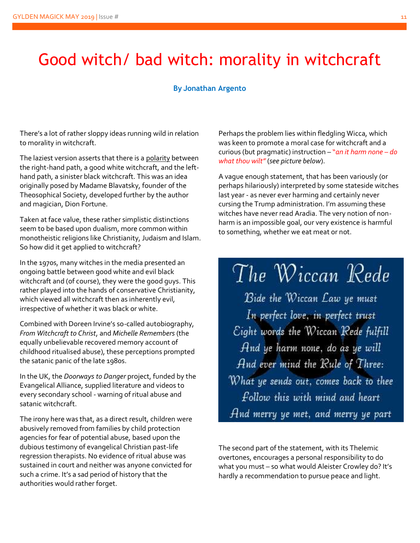# Good witch/ bad witch: morality in witchcraft

#### **By Jonathan Argento**

There's a lot of rather sloppy ideas running wild in relation to morality in witchcraft.

The laziest version asserts that there is a polarity between the right-hand path, a good white witchcraft, and the lefthand path, a sinister black witchcraft. This was an idea originally posed by Madame Blavatsky, founder of the Theosophical Society, developed further by the author and magician, Dion Fortune.

Taken at face value, these rather simplistic distinctions seem to be based upon dualism, more common within monotheistic religions like Christianity, Judaism and Islam. So how did it get applied to witchcraft?

In the 1970s, many witches in the media presented an ongoing battle between good white and evil black witchcraft and (of course), they were the good guys. This rather played into the hands of conservative Christianity, which viewed all witchcraft then as inherently evil, irrespective of whether it was black or white.

Combined with Doreen Irvine's so-called autobiography, *From Witchcraft to Christ*, and *Michelle Remembers* (the equally unbelievable recovered memory account of childhood ritualised abuse), these perceptions prompted the satanic panic of the late 1980s.

In the UK, the *Doorways to Danger* project, funded by the Evangelical Alliance, supplied literature and videos to every secondary school - warning of ritual abuse and satanic witchcraft.

The irony here was that, as a direct result, children were abusively removed from families by child protection agencies for fear of potential abuse, based upon the dubious testimony of evangelical Christian past-life regression therapists. No evidence of ritual abuse was sustained in court and neither was anyone convicted for such a crime. It's a sad period of history that the authorities would rather forget.

Perhaps the problem lies within fledgling Wicca, which was keen to promote a moral case for witchcraft and a curious (but pragmatic) instruction – "*an it harm none – do what thou wilt"* (*see picture below*).

A vague enough statement, that has been variously (or perhaps hilariously) interpreted by some stateside witches last year - as never ever harming and certainly never cursing the Trump administration. I'm assuming these witches have never read Aradia. The very notion of nonharm is an impossible goal, our very existence is harmful to something, whether we eat meat or not.

The Wiccan Rede

Bide the Wiccan Law ye must In perfect love, in perfect trust Eight words the Wiccan Rede fulfill And ye harm none, do as ye will And ever mind the Rule of Three: What ye sends out, comes back to thee follow this with mind and heart And merry ye met, and merry ye part

The second part of the statement, with its Thelemic overtones, encourages a personal responsibility to do what you must – so what would Aleister Crowley do? It's hardly a recommendation to pursue peace and light.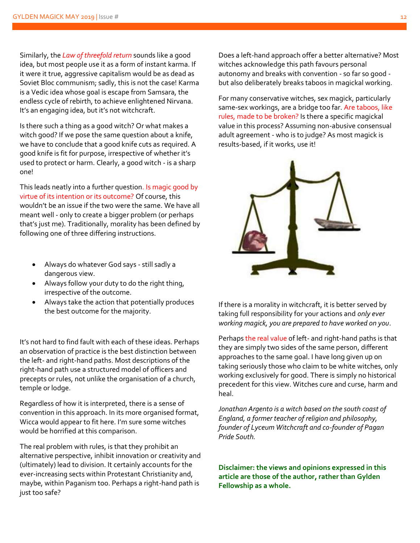Similarly, the *Law of threefold return* sounds like a good idea, but most people use it as a form of instant karma. If it were it true, aggressive capitalism would be as dead as Soviet Bloc communism; sadly, this is not the case! Karma is a Vedic idea whose goal is escape from Samsara, the endless cycle of rebirth, to achieve enlightened Nirvana. It's an engaging idea, but it's not witchcraft.

Is there such a thing as a good witch? Or what makes a witch good? If we pose the same question about a knife, we have to conclude that a good knife cuts as required. A good knife is fit for purpose, irrespective of whether it's used to protect or harm. Clearly, a good witch - is a sharp one!

This leads neatly into a further question. Is magic good by virtue of its intention or its outcome? Of course, this wouldn't be an issue if the two were the same. We have all meant well - only to create a bigger problem (or perhaps that's just me). Traditionally, morality has been defined by following one of three differing instructions.

- Always do whatever God says still sadly a dangerous view.
- Always follow your duty to do the right thing, irrespective of the outcome.
- Always take the action that potentially produces the best outcome for the majority.

It's not hard to find fault with each of these ideas. Perhaps an observation of practice is the best distinction between the left- and right-hand paths. Most descriptions of the right-hand path use a structured model of officers and precepts or rules, not unlike the organisation of a church, temple or lodge.

Regardless of how it is interpreted, there is a sense of convention in this approach. In its more organised format, Wicca would appear to fit here. I'm sure some witches would be horrified at this comparison.

The real problem with rules, is that they prohibit an alternative perspective, inhibit innovation or creativity and (ultimately) lead to division. It certainly accounts for the ever-increasing sects within Protestant Christianity and, maybe, within Paganism too. Perhaps a right-hand path is just too safe?

Does a left-hand approach offer a better alternative? Most witches acknowledge this path favours personal autonomy and breaks with convention - so far so good but also deliberately breaks taboos in magickal working.

For many conservative witches, sex magick, particularly same-sex workings, are a bridge too far. Are taboos, like rules, made to be broken? Is there a specific magickal value in this process? Assuming non-abusive consensual adult agreement - who is to judge? As most magick is results-based, if it works, use it!



If there is a morality in witchcraft, it is better served by taking full responsibility for your actions and *only ever working magick, you are prepared to have worked on you*.

Perhaps the real value of left- and right-hand paths is that they are simply two sides of the same person, different approaches to the same goal. I have long given up on taking seriously those who claim to be white witches, only working exclusively for good. There is simply no historical precedent for this view. Witches cure and curse, harm and heal.

*Jonathan Argento is a witch based on the south coast of England, a former teacher of religion and philosophy, founder of Lyceum Witchcraft and co-founder of Pagan Pride South.*

**Disclaimer: the views and opinions expressed in this article are those of the author, rather than Gylden Fellowship as a whole.**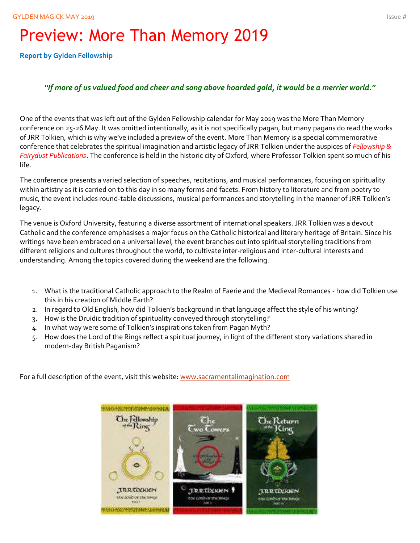# Preview: More Than Memory 2019

**Report by Gylden Fellowship**

### *"If more of us valued food and cheer and song above hoarded gold, it would be a merrier world."*

One of the events that was left out of the Gylden Fellowship calendar for May 2019 was the More Than Memory conference on 25-26 May. It was omitted intentionally, as it is not specifically pagan, but many pagans do read the works of JRR Tolkien, which is why we've included a preview of the event. More Than Memory is a special commemorative conference that celebrates the spiritual imagination and artistic legacy of JRR Tolkien under the auspices of *Fellowship & Fairydust Publications*. The conference is held in the historic city of Oxford, where Professor Tolkien spent so much of his life.

The conference presents a varied selection of speeches, recitations, and musical performances, focusing on spirituality within artistry as it is carried on to this day in so many forms and facets. From history to literature and from poetry to music, the event includes round-table discussions, musical performances and storytelling in the manner of JRR Tolkien's legacy.

The venue is Oxford University, featuring a diverse assortment of international speakers. JRR Tolkien was a devout Catholic and the conference emphasises a major focus on the Catholic historical and literary heritage of Britain. Since his writings have been embraced on a universal level, the event branches out into spiritual storytelling traditions from different religions and cultures throughout the world, to cultivate inter-religious and inter-cultural interests and understanding. Among the topics covered during the weekend are the following.

- 1. What is the traditional Catholic approach to the Realm of Faerie and the Medieval Romances how did Tolkien use this in his creation of Middle Earth?
- 2. In regard to Old English, how did Tolkien's background in that language affect the style of his writing?
- 3. How is the Druidic tradition of spirituality conveyed through storytelling?
- 4. In what way were some of Tolkien's inspirations taken from Pagan Myth?
- 5. How does the Lord of the Rings reflect a spiritual journey, in light of the different story variations shared in modern-day British Paganism?

For a full description of the event, visit this website: [www.sacramentalimagination.com](http://www.sacramentalimagination.com/)

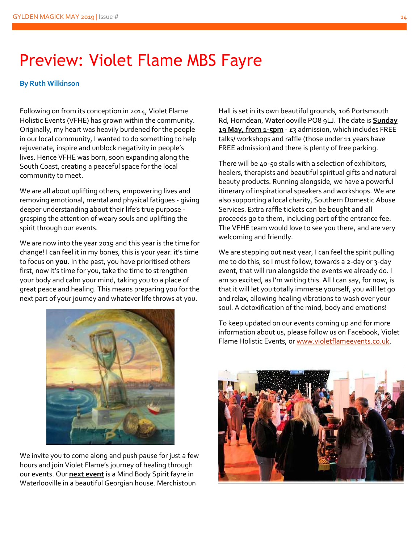# Preview: Violet Flame MBS Fayre

#### **By Ruth Wilkinson**

Following on from its conception in 2014, Violet Flame Holistic Events (VFHE) has grown within the community. Originally, my heart was heavily burdened for the people in our local community, I wanted to do something to help rejuvenate, inspire and unblock negativity in people's lives. Hence VFHE was born, soon expanding along the South Coast, creating a peaceful space for the local community to meet.

We are all about uplifting others, empowering lives and removing emotional, mental and physical fatigues - giving deeper understanding about their life's true purpose grasping the attention of weary souls and uplifting the spirit through our events.

We are now into the year 2019 and this year is the time for change! I can feel it in my bones, this is your year: it's time to focus on **you**. In the past, you have prioritised others first, now it's time for you, take the time to strengthen your body and calm your mind, taking you to a place of great peace and healing. This means preparing you for the next part of your journey and whatever life throws at you.



We invite you to come along and push pause for just a few hours and join Violet Flame's journey of healing through our events. Our **next event** is a Mind Body Spirit fayre in Waterlooville in a beautiful Georgian house. Merchistoun

Hall is set in its own beautiful grounds, 106 Portsmouth Rd, Horndean, Waterlooville PO8 9LJ. The date is **Sunday 19 May, from 1-5pm** - £3 admission, which includes FREE talks/ workshops and raffle (those under 11 years have FREE admission) and there is plenty of free parking.

There will be 40-50 stalls with a selection of exhibitors, healers, therapists and beautiful spiritual gifts and natural beauty products. Running alongside, we have a powerful itinerary of inspirational speakers and workshops. We are also supporting a local charity, Southern Domestic Abuse Services. Extra raffle tickets can be bought and all proceeds go to them, including part of the entrance fee. The VFHE team would love to see you there, and are very welcoming and friendly.

We are stepping out next year, I can feel the spirit pulling me to do this, so I must follow, towards a 2-day or 3-day event, that will run alongside the events we already do. I am so excited, as I'm writing this. All I can say, for now, is that it will let you totally immerse yourself, you will let go and relax, allowing healing vibrations to wash over your soul. A detoxification of the mind, body and emotions!

To keep updated on our events coming up and for more information about us, please follow us on Facebook, Violet Flame Holistic Events, o[r www.violetflameevents.co.uk.](http://www.violetflameevents.co.uk/)

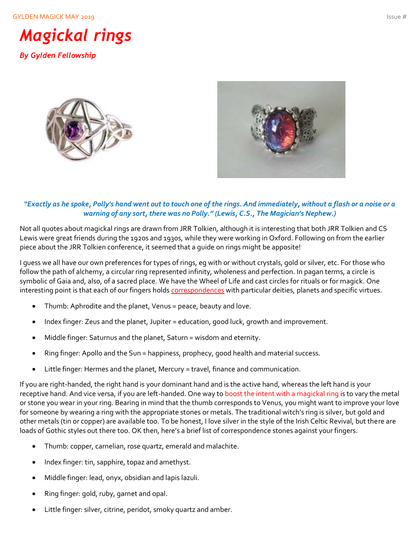GYLDEN MAGICK MAY 2019 **ISSUE #** Issue #



*By Gylden Fellowship*





#### *"Exactly as he spoke, Polly's hand went out to touch one of the rings. And immediately, without a flash or a noise or a warning of any sort, there was no Polly." (Lewis, C.S., The Magician's Nephew.)*

Not all quotes about magickal rings are drawn from JRR Tolkien, although it is interesting that both JRR Tolkien and CS Lewis were great friends during the 1920s and 1930s, while they were working in Oxford. Following on from the earlier piece about the JRR Tolkien conference, it seemed that a guide on rings might be apposite!

I guess we all have our own preferences for types of rings, eg with or without crystals, gold or silver, etc. For those who follow the path of alchemy, a circular ring represented infinity, wholeness and perfection. In pagan terms, a circle is symbolic of Gaia and, also, of a sacred place. We have the Wheel of Life and cast circles for rituals or for magick. One interesting point is that each of our fingers holds correspondences with particular deities, planets and specific virtues.

- Thumb: Aphrodite and the planet, Venus = peace, beauty and love.
- Index finger: Zeus and the planet, Jupiter = education, good luck, growth and improvement.
- Middle finger: Saturnus and the planet, Saturn = wisdom and eternity.
- Ring finger: Apollo and the Sun = happiness, prophecy, good health and material success.
- Little finger: Hermes and the planet, Mercury = travel, finance and communication.

If you are right-handed, the right hand is your dominant hand and is the active hand, whereas the left hand is your receptive hand. And vice versa, if you are left-handed. One way to boost the intent with a magickal ring is to vary the metal or stone you wear in your ring. Bearing in mind that the thumb corresponds to Venus, you might want to improve your love for someone by wearing a ring with the appropriate stones or metals. The traditional witch's ring is silver, but gold and other metals (tin or copper) are available too. To be honest, I love silver in the style of the Irish Celtic Revival, but there are loads of Gothic styles out there too. OK then, here's a brief list of correspondence stones against your fingers.

- Thumb: copper, carnelian, rose quartz, emerald and malachite.
- Index finger: tin, sapphire, topaz and amethyst.
- Middle finger: lead, onyx, obsidian and lapis lazuli.
- Ring finger: gold, ruby, garnet and opal.
- Little finger: silver, citrine, peridot, smoky quartz and amber.